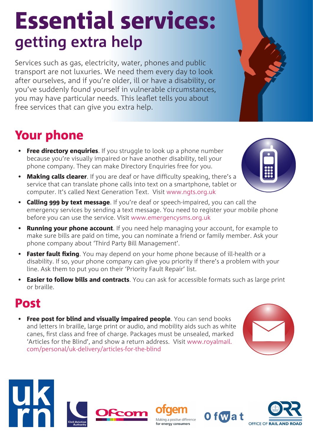# Essential services: **getting extra help**

Services such as gas, electricity, water, phones and public transport are not luxuries. We need them every day to look after ourselves, and if you're older, ill or have a disability, or you've suddenly found yourself in vulnerable circumstances, you may have particular needs. This leaflet tells you about free services that can give you extra help.

## Your phone

- Free directory enquiries. If you struggle to look up a phone number because you're visually impaired or have another disability, tell your phone company. They can make Directory Enquiries free for you.
- Making calls clearer. If you are deaf or have difficulty speaking, there's a service that can translate phone calls into text on a smartphone, tablet or computer. It's called Next Generation Text. Visit www.ngts.org.uk
- Calling 999 by text message. If you're deaf or speech-impaired, you can call the emergency services by sending a text message. You need to register your mobile phone before you can use the service. Visit www.emergencysms.org.uk
- **Running your phone account**. If you need help managing your account, for example to make sure bills are paid on time, you can nominate a friend or family member. Ask your phone company about 'Third Party Bill Management'.
- Faster fault fixing. You may depend on your home phone because of ill-health or a disability. If so, your phone company can give you priority if there's a problem with your line. Ask them to put you on their 'Priority Fault Repair' list.
- **Easier to follow bills and contracts**. You can ask for accessible formats such as large print or braille.

#### Post

• Free post for blind and visually impaired people. You can send books and letters in braille, large print or audio, and mobility aids such as white canes, first class and free of charge. Packages must be unsealed, marked 'Articles for the Blind', and show a return address. Visit www.royalmail. com/personal/uk-delivery/articles-for-the-blind









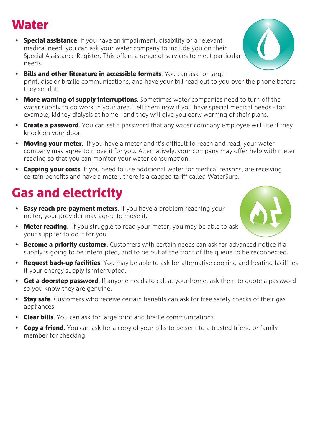#### Water

- Special assistance. If you have an impairment, disability or a relevant medical need, you can ask your water company to include you on their Special Assistance Register. This offers a range of services to meet particular needs.
- Bills and other literature in accessible formats. You can ask for large print, disc or braille communications, and have your bill read out to you over the phone before they send it.
- More warning of supply interruptions. Sometimes water companies need to turn off the water supply to do work in your area. Tell them now if you have special medical needs - for example, kidney dialysis at home - and they will give you early warning of their plans.
- Create a password. You can set a password that any water company employee will use if they knock on your door.
- **Moving your meter.** If you have a meter and it's difficult to reach and read, your water company may agree to move it for you. Alternatively, your company may offer help with meter reading so that you can monitor your water consumption.
- Capping your costs. If you need to use additional water for medical reasons, are receiving certain benefits and have a meter, there is a capped tariff called WaterSure.

# Gas and electricity

- Easy reach pre-payment meters. If you have a problem reaching your meter, your provider may agree to move it.
- Meter reading. If you struggle to read your meter, you may be able to ask your supplier to do it for you
- Become a priority customer. Customers with certain needs can ask for advanced notice if a supply is going to be interrupted, and to be put at the front of the queue to be reconnected.
- Request back-up facilities. You may be able to ask for alternative cooking and heating facilities if your energy supply is interrupted.
- Get a doorstep password. If anyone needs to call at your home, ask them to quote a password so you know they are genuine.
- Stay safe. Customers who receive certain benefits can ask for free safety checks of their gas appliances.
- Clear bills. You can ask for large print and braille communications.
- **Copy a friend**. You can ask for a copy of your bills to be sent to a trusted friend or family member for checking.



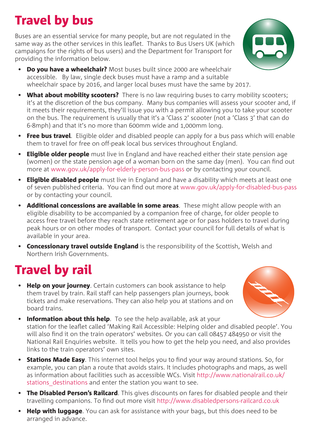# Travel by bus

Buses are an essential service for many people, but are not regulated in the same way as the other services in this leaflet. Thanks to Bus Users UK (which campaigns for the rights of bus users) and the Department for Transport for providing the information below.



- Do vou have a wheelchair? Most buses built since 2000 are wheelchair accessible. By law, single deck buses must have a ramp and a suitable wheelchair space by 2016, and larger local buses must have the same by 2017.
- What about mobility scooters? There is no law requiring buses to carry mobility scooters; it's at the discretion of the bus company. Many bus companies will assess your scooter and, if it meets their requirements, they'll issue you with a permit allowing you to take your scooter on the bus. The requirement is usually that it's a 'Class 2' scooter (not a 'Class 3' that can do 6-8mph) and that it's no more than 600mm wide and 1,000mm long.
- Free bus travel. Eligible older and disabled people can apply for a bus pass which will enable them to travel for free on off-peak local bus services throughout England.
- Eligible older people must live in England and have reached either their state pension age (women) or the state pension age of a woman born on the same day (men). You can find out more at www.gov.uk/apply-for-elderly-person-bus-pass or by contacting your council.
- Eligible disabled people must live in England and have a disability which meets at least one of seven published criteria. You can find out more at www.gov.uk/apply-for-disabled-bus-pass or by contacting your council.
- **Additional concessions are available in some areas**. These might allow people with an eligible disability to be accompanied by a companion free of charge, for older people to access free travel before they reach state retirement age or for pass holders to travel during peak hours or on other modes of transport. Contact your council for full details of what is available in your area.
- Concessionary travel outside England is the responsibility of the Scottish, Welsh and Northern Irish Governments.

### Travel by rail

• Help on your journey. Certain customers can book assistance to help them travel by train. Rail staff can help passengers plan journeys, book tickets and make reservations. They can also help you at stations and on board trains.



- **Information about this help**. To see the help available, ask at your station for the leaflet called 'Making Rail Accessible: Helping older and disabled people'. You will also find it on the train operators' websites. Or you can call 08457 484950 or visit the National Rail Enquiries website. It tells you how to get the help you need, and also provides links to the train operators' own sites.
- **Stations Made Easy**. This internet tool helps you to find your way around stations. So, for example, you can plan a route that avoids stairs. It includes photographs and maps, as well as information about facilities such as accessible WCs. Visit http://www.nationalrail.co.uk/ stations destinations and enter the station you want to see.
- The Disabled Person's Railcard. This gives discounts on fares for disabled people and their travelling companions. To find out more visit http://www.disabledpersons-railcard.co.uk
- Help with luggage. You can ask for assistance with your bags, but this does need to be arranged in advance.